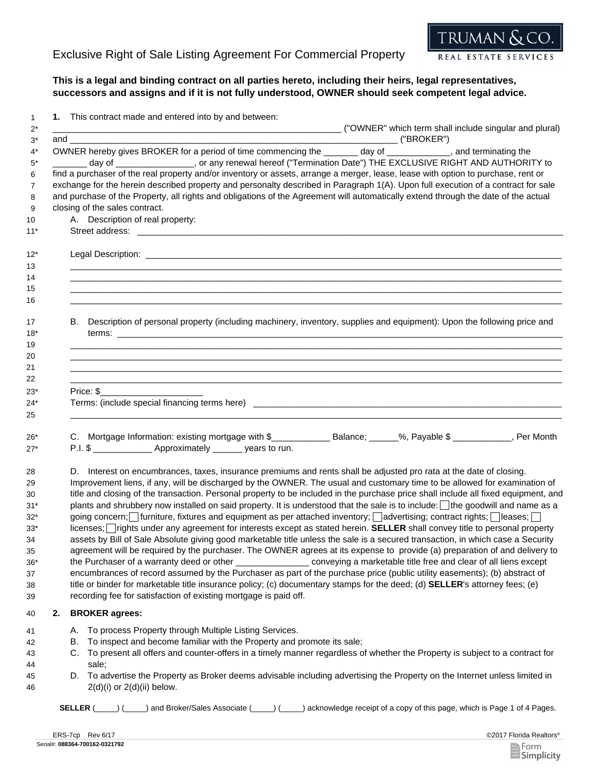

## **This is a legal and binding contract on all parties hereto, including their heirs, legal representatives, successors and assigns and if it is not fully understood, OWNER should seek competent legal advice.**

1 **1.** This contract made and entered into by and between:

|          | <u>ondon mado and ontorou like by and bothoon.</u><br>("OWNER" which term shall include singular and plural)" ("OWNER" which term shall include singular and plural)                                                                                                                                                                                                                                                                                                                                                                                                                                                                                                                                                                                                                                                                                                                                                                                                                                                                                                                                                                                                                                                                                                                                                                                                                                                                                                                                                    |
|----------|-------------------------------------------------------------------------------------------------------------------------------------------------------------------------------------------------------------------------------------------------------------------------------------------------------------------------------------------------------------------------------------------------------------------------------------------------------------------------------------------------------------------------------------------------------------------------------------------------------------------------------------------------------------------------------------------------------------------------------------------------------------------------------------------------------------------------------------------------------------------------------------------------------------------------------------------------------------------------------------------------------------------------------------------------------------------------------------------------------------------------------------------------------------------------------------------------------------------------------------------------------------------------------------------------------------------------------------------------------------------------------------------------------------------------------------------------------------------------------------------------------------------------|
|          | OWNER hereby gives BROKER for a period of time commencing the _______ day of ___________, and terminating the<br>day of ________________, or any renewal hereof ("Termination Date") THE EXCLUSIVE RIGHT AND AUTHORITY to<br>find a purchaser of the real property and/or inventory or assets, arrange a merger, lease, lease with option to purchase, rent or<br>exchange for the herein described property and personalty described in Paragraph 1(A). Upon full execution of a contract for sale<br>and purchase of the Property, all rights and obligations of the Agreement will automatically extend through the date of the actual<br>closing of the sales contract.<br>A. Description of real property:                                                                                                                                                                                                                                                                                                                                                                                                                                                                                                                                                                                                                                                                                                                                                                                                         |
|          | ,我们也不能会在这里,我们的人们也不能会在这里,我们也不能会在这里,我们也不能会在这里,我们也不能会在这里,我们也不能会在这里,我们也不能会不能会不能会。""我<br>第115章 我们的人们,我们的人们的人们,我们的人们的人们,我们的人们的人们,我们的人们的人们,我们的人们的人们,我们的人们的人们,我们的人们的人们,我们的人们                                                                                                                                                                                                                                                                                                                                                                                                                                                                                                                                                                                                                                                                                                                                                                                                                                                                                                                                                                                                                                                                                                                                                                                                                                                                                                                                                    |
|          | B. Description of personal property (including machinery, inventory, supplies and equipment): Upon the following price and                                                                                                                                                                                                                                                                                                                                                                                                                                                                                                                                                                                                                                                                                                                                                                                                                                                                                                                                                                                                                                                                                                                                                                                                                                                                                                                                                                                              |
|          | Price: \$                                                                                                                                                                                                                                                                                                                                                                                                                                                                                                                                                                                                                                                                                                                                                                                                                                                                                                                                                                                                                                                                                                                                                                                                                                                                                                                                                                                                                                                                                                               |
|          | C. Mortgage Information: existing mortgage with \$_____________________________%, Payable \$ ____________, Per Month<br>P.I. \$ _________________ Approximately ________ years to run.                                                                                                                                                                                                                                                                                                                                                                                                                                                                                                                                                                                                                                                                                                                                                                                                                                                                                                                                                                                                                                                                                                                                                                                                                                                                                                                                  |
|          | D. Interest on encumbrances, taxes, insurance premiums and rents shall be adjusted pro rata at the date of closing.<br>Improvement liens, if any, will be discharged by the OWNER. The usual and customary time to be allowed for examination of<br>title and closing of the transaction. Personal property to be included in the purchase price shall include all fixed equipment, and<br>plants and shrubbery now installed on said property. It is understood that the sale is to include: I the goodwill and name as a<br>going concern; infurniture, fixtures and equipment as per attached inventory; advertising; contract rights; ileases;<br>licenses; rights under any agreement for interests except as stated herein. SELLER shall convey title to personal property<br>assets by Bill of Sale Absolute giving good marketable title unless the sale is a secured transaction, in which case a Security<br>agreement will be required by the purchaser. The OWNER agrees at its expense to provide (a) preparation of and delivery to<br>the Purchaser of a warranty deed or other ________________________ conveying a marketable title free and clear of all liens except<br>encumbrances of record assumed by the Purchaser as part of the purchase price (public utility easements); (b) abstract of<br>title or binder for marketable title insurance policy; (c) documentary stamps for the deed; (d) SELLER's attorney fees; (e)<br>recording fee for satisfaction of existing mortgage is paid off. |
| 2.       | <b>BROKER agrees:</b>                                                                                                                                                                                                                                                                                                                                                                                                                                                                                                                                                                                                                                                                                                                                                                                                                                                                                                                                                                                                                                                                                                                                                                                                                                                                                                                                                                                                                                                                                                   |
| А.<br>В. | To process Property through Multiple Listing Services.<br>To inspect and become familiar with the Property and promote its sale;<br>C. To present all offers and counter-offers in a timely manner regardless of whether the Property is subject to a contract for<br>sale;<br>D. To advertise the Property as Broker deems advisable including advertising the Property on the Internet unless limited in<br>$2(d)(i)$ or $2(d)(ii)$ below.                                                                                                                                                                                                                                                                                                                                                                                                                                                                                                                                                                                                                                                                                                                                                                                                                                                                                                                                                                                                                                                                            |

**SELLER** (\_\_\_\_\_) (\_\_\_\_\_) and Broker/Sales Associate (\_\_\_\_\_) (\_\_\_\_\_) acknowledge receipt of a copy of this page, which is Page 1 of 4 Pages.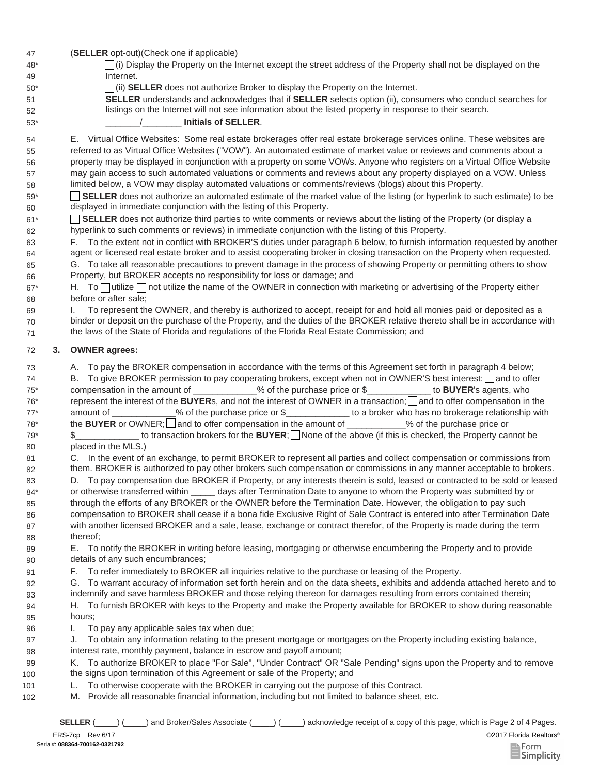| 47 |  |  | (SELLER opt-out) (Check one if applicable) |
|----|--|--|--------------------------------------------|
|----|--|--|--------------------------------------------|

| 48* | $\Box$ (i) Display the Property on the Internet except the street address of the Property shall not be displayed on the |
|-----|-------------------------------------------------------------------------------------------------------------------------|
| 49  | Internet.                                                                                                               |

50<sup>\*</sup> (ii) **SELLER** does not authorize Broker to display the Property on the Internet.

**SELLER** understands and acknowledges that if **SELLER** selects option (ii), consumers who conduct searches for listings on the Internet will not see information about the listed property in response to their search.

53\* \_\_\_\_\_\_\_/\_\_\_\_\_\_\_\_ **Initials of SELLER**.

51 52

69 70 71

54 E. Virtual Office Websites: Some real estate brokerages offer real estate brokerage services online. These websites are 55 56 57 58 referred to as Virtual Office Websites ("VOW"). An automated estimate of market value or reviews and comments about a property may be displayed in conjunction with a property on some VOWs. Anyone who registers on a Virtual Office Website may gain access to such automated valuations or comments and reviews about any property displayed on a VOW. Unless limited below, a VOW may display automated valuations or comments/reviews (blogs) about this Property.

**SELLER** does not authorize an automated estimate of the market value of the listing (or hyperlink to such estimate) to be displayed in immediate conjunction with the listing of this Property. 59\* 60

**SELLER** does not authorize third parties to write comments or reviews about the listing of the Property (or display a hyperlink to such comments or reviews) in immediate conjunction with the listing of this Property. 61\* 62

F. To the extent not in conflict with BROKER'S duties under paragraph 6 below, to furnish information requested by another agent or licensed real estate broker and to assist cooperating broker in closing transaction on the Property when requested. 63 64

65 G. To take all reasonable precautions to prevent damage in the process of showing Property or permitting others to show 66 Property, but BROKER accepts no responsibility for loss or damage; and

67\* H. To  $\Box$  utilize  $\Box$  not utilize the name of the OWNER in connection with marketing or advertising of the Property either 68 before or after sale;

I. To represent the OWNER, and thereby is authorized to accept, receipt for and hold all monies paid or deposited as a binder or deposit on the purchase of the Property, and the duties of the BROKER relative thereto shall be in accordance with the laws of the State of Florida and regulations of the Florida Real Estate Commission; and

## 72 **3. OWNER agrees:**

73 A. To pay the BROKER compensation in accordance with the terms of this Agreement set forth in paragraph 4 below;

74 B. To give BROKER permission to pay cooperating brokers, except when not in OWNER'S best interest:∐and to offer 75\* compensation in the amount of \_\_\_\_\_\_\_\_\_\_\_\_\_% of the purchase price or \$\_\_\_\_\_\_\_\_\_\_\_\_\_ to **BUYER**'s agents, who 76<sup>\*</sup> represent the interest of the **BUYER**s, and not the interest of OWNER in a transaction; and to offer compensation in the 77\* amount of 3000 % of the purchase price or \$  $\frac{1}{2}$  to a broker who has no brokerage relationship with 78<sup>\*</sup> the **BUYER** or OWNER; and to offer compensation in the amount of  $\%$  of the purchase price or 79\* \$\_\_\_\_\_\_\_\_\_\_\_\_\_\_\_\_\_ to transaction brokers for the **BUYER**; None of the above (if this is checked, the Property cannot be 80 placed in the MLS.)

81 C. In the event of an exchange, to permit BROKER to represent all parties and collect compensation or commissions from 82 them. BROKER is authorized to pay other brokers such compensation or commissions in any manner acceptable to brokers.

83 D. To pay compensation due BROKER if Property, or any interests therein is sold, leased or contracted to be sold or leased 84\* 85 86 87 88 or otherwise transferred within \_\_\_\_\_ days after Termination Date to anyone to whom the Property was submitted by or through the efforts of any BROKER or the OWNER before the Termination Date. However, the obligation to pay such compensation to BROKER shall cease if a bona fide Exclusive Right of Sale Contract is entered into after Termination Date with another licensed BROKER and a sale, lease, exchange or contract therefor, of the Property is made during the term thereof;

89 E. To notify the BROKER in writing before leasing, mortgaging or otherwise encumbering the Property and to provide 90 details of any such encumbrances;

91 F. To refer immediately to BROKER all inquiries relative to the purchase or leasing of the Property.

92 G. 93 To warrant accuracy of information set forth herein and on the data sheets, exhibits and addenda attached hereto and to indemnify and save harmless BROKER and those relying thereon for damages resulting from errors contained therein;

94 H. To furnish BROKER with keys to the Property and make the Property available for BROKER to show during reasonable 95 hours;

96 I. To pay any applicable sales tax when due;

J. To obtain any information relating to the present mortgage or mortgages on the Property including existing balance, interest rate, monthly payment, balance in escrow and payoff amount; 97 98

99 K. To authorize BROKER to place "For Sale", "Under Contract" OR "Sale Pending" signs upon the Property and to remove

- 100 the signs upon termination of this Agreement or sale of the Property; and
- 101 L. To otherwise cooperate with the BROKER in carrying out the purpose of this Contract.
- 102 M. Provide all reasonable financial information, including but not limited to balance sheet, etc.

**SELLER** (equal of a copy of this page, which is Page 2 of 4 Pages.

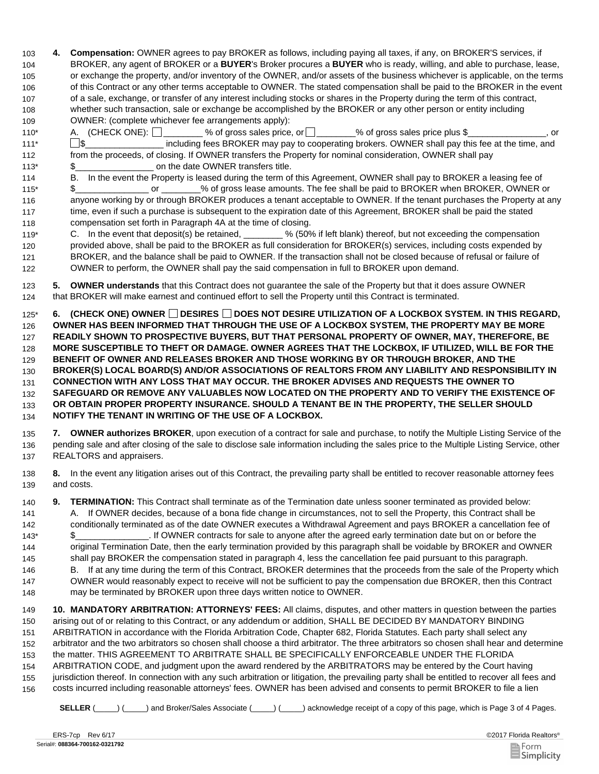- **4. Compensation:** OWNER agrees to pay BROKER as follows, including paying all taxes, if any, on BROKER'S services, if BROKER, any agent of BROKER or a **BUYER**'s Broker procures a **BUYER** who is ready, willing, and able to purchase, lease, or exchange the property, and/or inventory of the OWNER, and/or assets of the business whichever is applicable, on the terms of this Contract or any other terms acceptable to OWNER. The stated compensation shall be paid to the BROKER in the event of a sale, exchange, or transfer of any interest including stocks or shares in the Property during the term of this contract, whether such transaction, sale or exchange be accomplished by the BROKER or any other person or entity including OWNER: (complete whichever fee arrangements apply): 103 104 105 106 107 108 109
- 110\* A. (CHECK ONE):  $\Box$  % of gross sales price, or  $\Box$  % of gross sales price plus \$ \_\_\_\_\_\_\_\_, or  $111*$   $\Box$  \$  $\Box$  including fees BROKER may pay to cooperating brokers. OWNER shall pay this fee at the time, and 112 from the proceeds, of closing. If OWNER transfers the Property for nominal consideration, OWNER shall pay 113\*  $\frac{12}{3}$   $\frac{12}{3}$  on the date OWNER transfers title. A. (CHECK ONE):  $\Box$
- 114 115\* 116 117 118 B. In the event the Property is leased during the term of this Agreement, OWNER shall pay to BROKER a leasing fee of \$\_\_\_\_\_\_\_\_\_\_\_\_\_\_\_ or \_\_\_\_\_\_\_\_% of gross lease amounts. The fee shall be paid to BROKER when BROKER, OWNER or anyone working by or through BROKER produces a tenant acceptable to OWNER. If the tenant purchases the Property at any time, even if such a purchase is subsequent to the expiration date of this Agreement, BROKER shall be paid the stated compensation set forth in Paragraph 4A at the time of closing.
- 119\* C. In the event that deposit(s) be retained, 120 121 122  $\_$ % (50% if left blank) thereof, but not exceeding the compensation provided above, shall be paid to the BROKER as full consideration for BROKER(s) services, including costs expended by BROKER, and the balance shall be paid to OWNER. If the transaction shall not be closed because of refusal or failure of OWNER to perform, the OWNER shall pay the said compensation in full to BROKER upon demand.
- **5. OWNER understands** that this Contract does not guarantee the sale of the Property but that it does assure OWNER that BROKER will make earnest and continued effort to sell the Property until this Contract is terminated. 123 124

125\* **6. (CHECK ONE) OWNER DESIRES DOES NOT DESIRE UTILIZATION OF A LOCKBOX SYSTEM. IN THIS REGARD, OWNER HAS BEEN INFORMED THAT THROUGH THE USE OF A LOCKBOX SYSTEM, THE PROPERTY MAY BE MORE READILY SHOWN TO PROSPECTIVE BUYERS, BUT THAT PERSONAL PROPERTY OF OWNER, MAY, THEREFORE, BE MORE SUSCEPTIBLE TO THEFT OR DAMAGE. OWNER AGREES THAT THE LOCKBOX, IF UTILIZED, WILL BE FOR THE BENEFIT OF OWNER AND RELEASES BROKER AND THOSE WORKING BY OR THROUGH BROKER, AND THE BROKER(S) LOCAL BOARD(S) AND/OR ASSOCIATIONS OF REALTORS FROM ANY LIABILITY AND RESPONSIBILITY IN CONNECTION WITH ANY LOSS THAT MAY OCCUR. THE BROKER ADVISES AND REQUESTS THE OWNER TO SAFEGUARD OR REMOVE ANY VALUABLES NOW LOCATED ON THE PROPERTY AND TO VERIFY THE EXISTENCE OF OR OBTAIN PROPER PROPERTY INSURANCE. SHOULD A TENANT BE IN THE PROPERTY, THE SELLER SHOULD NOTIFY THE TENANT IN WRITING OF THE USE OF A LOCKBOX.**  126 127 128 129 130 131 132 133 134

- **7. OWNER authorizes BROKER**, upon execution of a contract for sale and purchase, to notify the Multiple Listing Service of the pending sale and after closing of the sale to disclose sale information including the sales price to the Multiple Listing Service, other REALTORS and appraisers. 135 136 137
- **8.** In the event any litigation arises out of this Contract, the prevailing party shall be entitled to recover reasonable attorney fees and costs. 138 139
- 140 **9. TERMINATION:** This Contract shall terminate as of the Termination date unless sooner terminated as provided below: 141 142 143\* 144 145 146 147 A. If OWNER decides, because of a bona fide change in circumstances, not to sell the Property, this Contract shall be conditionally terminated as of the date OWNER executes a Withdrawal Agreement and pays BROKER a cancellation fee of \$\_\_\_\_\_\_\_\_\_\_\_\_\_\_\_. If OWNER contracts for sale to anyone after the agreed early termination date but on or before the original Termination Date, then the early termination provided by this paragraph shall be voidable by BROKER and OWNER shall pay BROKER the compensation stated in paragraph 4, less the cancellation fee paid pursuant to this paragraph. B. If at any time during the term of this Contract, BROKER determines that the proceeds from the sale of the Property which OWNER would reasonably expect to receive will not be sufficient to pay the compensation due BROKER, then this Contract
- 148 may be terminated by BROKER upon three days written notice to OWNER.
- 149 **10. MANDATORY ARBITRATION: ATTORNEYS' FEES:** All claims, disputes, and other matters in question between the parties 150 151 152 153 154 155 156 arising out of or relating to this Contract, or any addendum or addition, SHALL BE DECIDED BY MANDATORY BINDING ARBITRATION in accordance with the Florida Arbitration Code, Chapter 682, Florida Statutes. Each party shall select any arbitrator and the two arbitrators so chosen shall choose a third arbitrator. The three arbitrators so chosen shall hear and determine the matter. THIS AGREEMENT TO ARBITRATE SHALL BE SPECIFICALLY ENFORCEABLE UNDER THE FLORIDA ARBITRATION CODE, and judgment upon the award rendered by the ARBITRATORS may be entered by the Court having jurisdiction thereof. In connection with any such arbitration or litigation, the prevailing party shall be entitled to recover all fees and costs incurred including reasonable attorneys' fees. OWNER has been advised and consents to permit BROKER to file a lien
	- **SELLER** (\_\_\_\_\_) (\_\_\_\_\_) and Broker/Sales Associate (\_\_\_\_\_) (\_\_\_\_\_) acknowledge receipt of a copy of this page, which is Page 3 of 4 Pages.